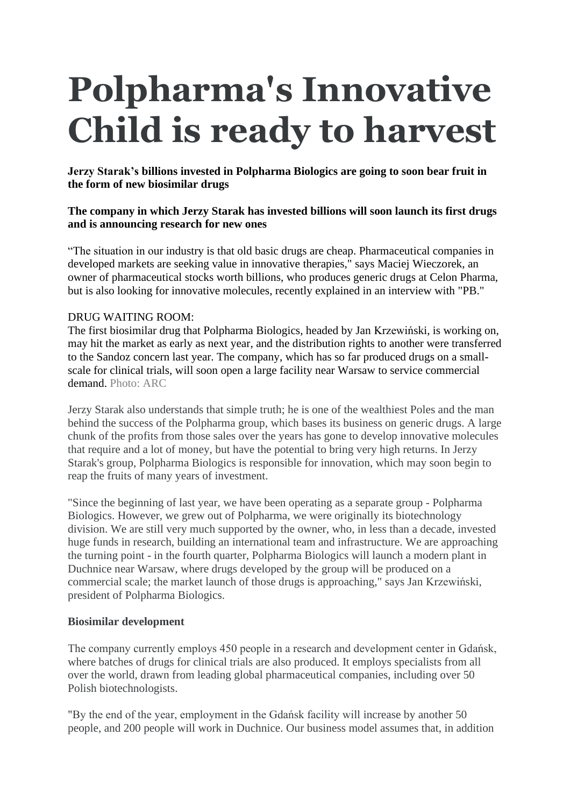# **Polpharma's Innovative Child is ready to harvest**

**Jerzy Starak's billions invested in Polpharma Biologics are going to soon bear fruit in the form of new biosimilar drugs** 

### **The company in which Jerzy Starak has invested billions will soon launch its first drugs and is announcing research for new ones**

"The situation in our industry is that old basic drugs are cheap. Pharmaceutical companies in developed markets are seeking value in innovative therapies," says Maciej Wieczorek, an owner of pharmaceutical stocks worth billions, who produces generic drugs at Celon Pharma, but is also looking for innovative molecules, recently explained in an interview with "PB."

### DRUG WAITING ROOM:

The first biosimilar drug that Polpharma Biologics, headed by Jan Krzewiński, is working on, may hit the market as early as next year, and the distribution rights to another were transferred to the Sandoz concern last year. The company, which has so far produced drugs on a smallscale for clinical trials, will soon open a large facility near Warsaw to service commercial demand. Photo: ARC

Jerzy Starak also understands that simple truth; he is one of the wealthiest Poles and the man behind the success of the Polpharma group, which bases its business on generic drugs. A large chunk of the profits from those sales over the years has gone to develop innovative molecules that require and a lot of money, but have the potential to bring very high returns. In Jerzy Starak's group, Polpharma Biologics is responsible for innovation, which may soon begin to reap the fruits of many years of investment.

"Since the beginning of last year, we have been operating as a separate group - Polpharma Biologics. However, we grew out of Polpharma, we were originally its biotechnology division. We are still very much supported by the owner, who, in less than a decade, invested huge funds in research, building an international team and infrastructure. We are approaching the turning point - in the fourth quarter, Polpharma Biologics will launch a modern plant in Duchnice near Warsaw, where drugs developed by the group will be produced on a commercial scale; the market launch of those drugs is approaching," says Jan Krzewiński, president of Polpharma Biologics.

### **Biosimilar development**

The company currently employs 450 people in a research and development center in Gdańsk, where batches of drugs for clinical trials are also produced. It employs specialists from all over the world, drawn from leading global pharmaceutical companies, including over 50 Polish biotechnologists.

"By the end of the year, employment in the Gdańsk facility will increase by another 50 people, and 200 people will work in Duchnice. Our business model assumes that, in addition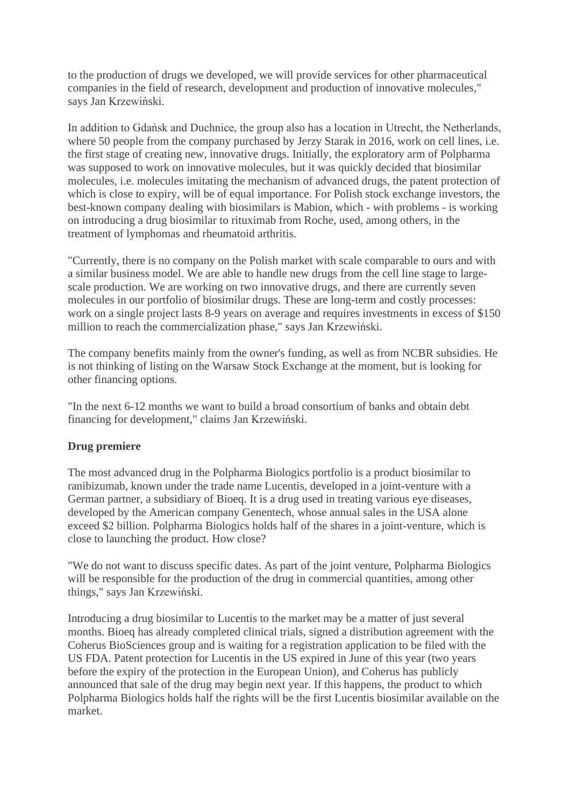to the production of drugs we developed, we will provide services for other pharmaceutical companies in the field of research, development and production of innovative molecules," says Jan Krzewiński.

In addition to Gdańsk and Duchnice, the group also has a location in Utrecht, the Netherlands, where 50 people from the company purchased by Jerzy Starak in 2016, work on cell lines, i.e. the first stage of creating new, innovative drugs. Initially, the exploratory arm of Polpharma was supposed to work on innovative molecules, but it was quickly decided that biosimilar molecules, i.e. molecules imitating the mechanism of advanced drugs, the patent protection of which is close to expiry, will be of equal importance. For Polish stock exchange investors, the best-known company dealing with biosimilars is Mabion, which - with problems - is working on introducing a drug biosimilar to rituximab from Roche, used, among others, in the treatment of lymphomas and rheumatoid arthritis.

"Currently, there is no company on the Polish market with scale comparable to ours and with a similar business model. We are able to handle new drugs from the cell line stage to largescale production. We are working on two innovative drugs, and there are currently seven molecules in our portfolio of biosimilar drugs. These are long-term and costly processes: work on a single project lasts 8-9 years on average and requires investments in excess of \$150 million to reach the commercialization phase," says Jan Krzewiński.

The company benefits mainly from the owner's funding, as well as from NCBR subsidies. He is not thinking of listing on the Warsaw Stock Exchange at the moment, but is looking for other financing options.

"In the next 6-12 months we want to build a broad consortium of banks and obtain debt financing for development," claims Jan Krzewiński.

### **Drug premiere**

The most advanced drug in the Polpharma Biologics portfolio is a product biosimilar to ranibizumab, known under the trade name Lucentis, developed in a joint-venture with a German partner, a subsidiary of Bioeq. It is a drug used in treating various eye diseases, developed by the American company Genentech, whose annual sales in the USA alone exceed \$2 billion. Polpharma Biologics holds half of the shares in a joint-venture, which is close to launching the product. How close?

"We do not want to discuss specific dates. As part of the joint venture, Polpharma Biologics will be responsible for the production of the drug in commercial quantities, among other things," says Jan Krzewiński.

Introducing a drug biosimilar to Lucentis to the market may be a matter of just several months. Bioeq has already completed clinical trials, signed a distribution agreement with the Coherus BioSciences group and is waiting for a registration application to be filed with the US FDA. Patent protection for Lucentis in the US expired in June of this year (two years before the expiry of the protection in the European Union), and Coherus has publicly announced that sale of the drug may begin next year. If this happens, the product to which Polpharma Biologics holds half the rights will be the first Lucentis biosimilar available on the market.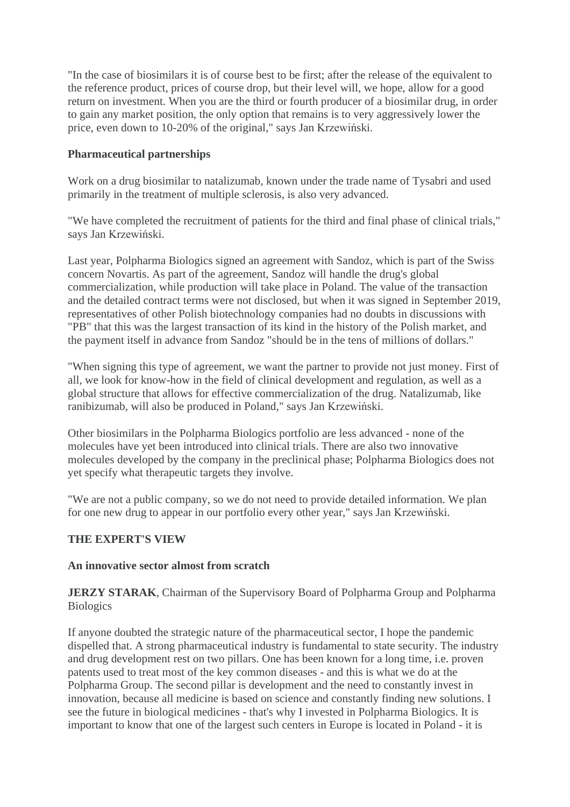"In the case of biosimilars it is of course best to be first; after the release of the equivalent to the reference product, prices of course drop, but their level will, we hope, allow for a good return on investment. When you are the third or fourth producer of a biosimilar drug, in order to gain any market position, the only option that remains is to very aggressively lower the price, even down to 10-20% of the original," says Jan Krzewiński.

#### **Pharmaceutical partnerships**

Work on a drug biosimilar to natalizumab, known under the trade name of Tysabri and used primarily in the treatment of multiple sclerosis, is also very advanced.

"We have completed the recruitment of patients for the third and final phase of clinical trials," says Jan Krzewiński.

Last year, Polpharma Biologics signed an agreement with Sandoz, which is part of the Swiss concern Novartis. As part of the agreement, Sandoz will handle the drug's global commercialization, while production will take place in Poland. The value of the transaction and the detailed contract terms were not disclosed, but when it was signed in September 2019, representatives of other Polish biotechnology companies had no doubts in discussions with "PB" that this was the largest transaction of its kind in the history of the Polish market, and the payment itself in advance from Sandoz "should be in the tens of millions of dollars."

"When signing this type of agreement, we want the partner to provide not just money. First of all, we look for know-how in the field of clinical development and regulation, as well as a global structure that allows for effective commercialization of the drug. Natalizumab, like ranibizumab, will also be produced in Poland," says Jan Krzewiński.

Other biosimilars in the Polpharma Biologics portfolio are less advanced - none of the molecules have yet been introduced into clinical trials. There are also two innovative molecules developed by the company in the preclinical phase; Polpharma Biologics does not yet specify what therapeutic targets they involve.

"We are not a public company, so we do not need to provide detailed information. We plan for one new drug to appear in our portfolio every other year," says Jan Krzewiński.

### **THE EXPERT'S VIEW**

#### **An innovative sector almost from scratch**

**JERZY STARAK**, Chairman of the Supervisory Board of Polpharma Group and Polpharma **Biologics** 

If anyone doubted the strategic nature of the pharmaceutical sector, I hope the pandemic dispelled that. A strong pharmaceutical industry is fundamental to state security. The industry and drug development rest on two pillars. One has been known for a long time, i.e. proven patents used to treat most of the key common diseases - and this is what we do at the Polpharma Group. The second pillar is development and the need to constantly invest in innovation, because all medicine is based on science and constantly finding new solutions. I see the future in biological medicines - that's why I invested in Polpharma Biologics. It is important to know that one of the largest such centers in Europe is located in Poland - it is